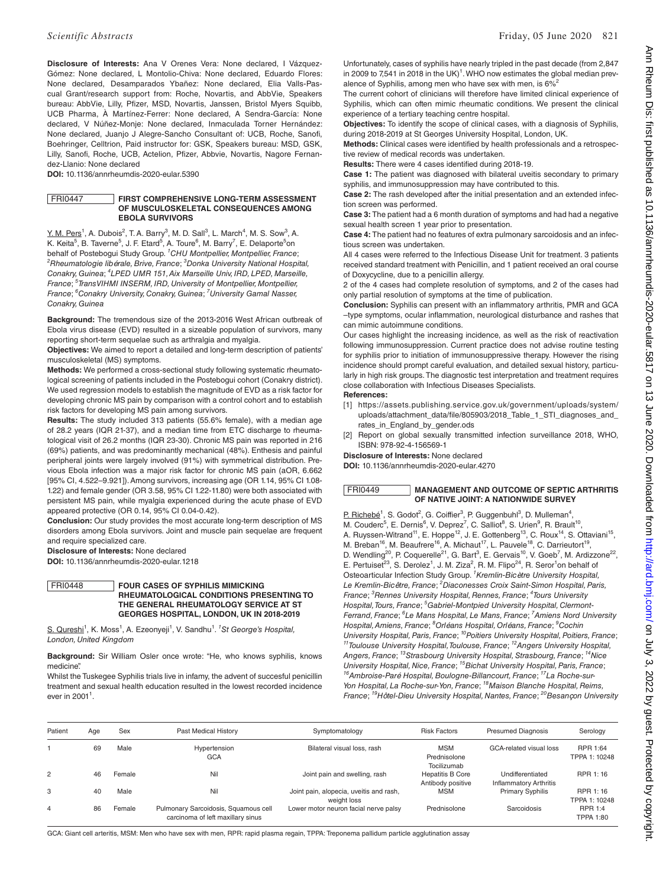**Disclosure of Interests:** Ana V Orenes Vera: None declared, I Vázquez-Gómez: None declared, L Montolio-Chiva: None declared, Eduardo Flores: None declared, Desamparados Ybañez: None declared, Elia Valls-Pascual Grant/research support from: Roche, Novartis, and AbbVie, Speakers bureau: AbbVie, Lilly, Pfizer, MSD, Novartis, Janssen, Bristol Myers Squibb, UCB Pharma, À Martínez-Ferrer: None declared, A Sendra-García: None declared, V Núñez-Monje: None declared, Inmaculada Torner Hernández: None declared, Juanjo J Alegre-Sancho Consultant of: UCB, Roche, Sanofi, Boehringer, Celltrion, Paid instructor for: GSK, Speakers bureau: MSD, GSK, Lilly, Sanofi, Roche, UCB, Actelion, Pfizer, Abbvie, Novartis, Nagore Fernandez-Llanio: None declared

**DOI:** 10.1136/annrheumdis-2020-eular.5390

## FRI0447 **FIRST COMPREHENSIVE LONG-TERM ASSESSMENT OF MUSCULOSKELETAL CONSEQUENCES AMONG EBOLA SURVIVORS**

 $Y. M. Pers<sup>1</sup>$ , A. Dubois<sup>2</sup>, T. A. Barry<sup>3</sup>, M. D. Sall<sup>3</sup>, L. March<sup>4</sup>, M. S. Sow<sup>3</sup>, A. K. Keita<sup>5</sup>, B. Taverne<sup>5</sup>, J. F. Etard<sup>5</sup>, A. Toure<sup>6</sup>, M. Barry<sup>7</sup>, E. Delaporte<sup>5</sup>on behalf of Postebogui Study Group. *<sup>1</sup> CHU Montpellier, Montpellier, France*; *2 Rheumatologie libérale, Brive, France*; *<sup>3</sup> Donka University National Hospital,*  Conakry, Guinea; <sup>4</sup>LPED UMR 151, Aix Marseille Univ, IRD, LPED, Marseille, *France*; *<sup>5</sup> TransVIHMI INSERM, IRD, University of Montpellier, Montpellier, France*; *<sup>6</sup> Conakry University, Conakry, Guinea*; *<sup>7</sup> University Gamal Nasser, Conakry, Guinea*

**Background:** The tremendous size of the 2013-2016 West African outbreak of Ebola virus disease (EVD) resulted in a sizeable population of survivors, many reporting short-term sequelae such as arthralgia and myalgia.

**Objectives:** We aimed to report a detailed and long-term description of patients' musculoskeletal (MS) symptoms.

**Methods:** We performed a cross-sectional study following systematic rheumatological screening of patients included in the Postebogui cohort (Conakry district). We used regression models to establish the magnitude of EVD as a risk factor for developing chronic MS pain by comparison with a control cohort and to establish risk factors for developing MS pain among survivors.

**Results:** The study included 313 patients (55.6% female), with a median age of 28.2 years (IQR 21-37), and a median time from ETC discharge to rheumatological visit of 26.2 months (IQR 23-30). Chronic MS pain was reported in 216 (69%) patients, and was predominantly mechanical (48%). Enthesis and painful peripheral joints were largely involved (91%) with symmetrical distribution. Previous Ebola infection was a major risk factor for chronic MS pain (aOR, 6.662 [95% CI, 4.522–9.921]). Among survivors, increasing age (OR 1.14, 95% CI 1.08- 1.22) and female gender (OR 3.58, 95% CI 1.22-11.80) were both associated with persistent MS pain, while myalgia experienced during the acute phase of EVD appeared protective (OR 0.14, 95% CI 0.04-0.42).

**Conclusion:** Our study provides the most accurate long-term description of MS disorders among Ebola survivors. Joint and muscle pain sequelae are frequent and require specialized care.

**Disclosure of Interests:** None declared

**DOI:** 10.1136/annrheumdis-2020-eular.1218

### FRI0448 **FOUR CASES OF SYPHILIS MIMICKING RHEUMATOLOGICAL CONDITIONS PRESENTING TO THE GENERAL RHEUMATOLOGY SERVICE AT ST GEORGES HOSPITAL, LONDON, UK IN 2018-2019**

S. Qureshi<sup>1</sup>, K. Moss<sup>1</sup>, A. Ezeonyeji<sup>1</sup>, V. Sandhu<sup>1</sup>. <sup>*1</sup>St George's Hospital,*</sup> *London, United Kingdom*

**Background:** Sir William Osler once wrote: "He, who knows syphilis, knows medicine".

Whilst the Tuskegee Syphilis trials live in infamy, the advent of succesful penicillin treatment and sexual health education resulted in the lowest recorded incidence ever in 2001<sup>1</sup>.

Unfortunately, cases of syphilis have nearly tripled in the past decade (from 2,847 in 2009 to 7,541 in 2018 in the UK $)^1$ . WHO now estimates the global median prevalence of Syphilis, among men who have sex with men, is  $6\%$ 

The current cohort of clinicians will therefore have limited clinical experience of Syphilis, which can often mimic rheumatic conditions. We present the clinical experience of a tertiary teaching centre hospital.

**Objectives:** To identify the scope of clinical cases, with a diagnosis of Syphilis, during 2018-2019 at St Georges University Hospital, London, UK.

**Methods:** Clinical cases were identified by health professionals and a retrospective review of medical records was undertaken.

**Results:** There were 4 cases identified during 2018-19.

**Case 1:** The patient was diagnosed with bilateral uveitis secondary to primary syphilis, and immunosuppression may have contributed to this.

**Case 2:** The rash developed after the initial presentation and an extended infection screen was performed.

**Case 3:** The patient had a 6 month duration of symptoms and had had a negative sexual health screen 1 year prior to presentation.

**Case 4:** The patient had no features of extra pulmonary sarcoidosis and an infectious screen was undertaken.

All 4 cases were referred to the Infectious Disease Unit for treatment. 3 patients received standard treatment with Penicillin, and 1 patient received an oral course of Doxycycline, due to a penicillin allergy.

2 of the 4 cases had complete resolution of symptoms, and 2 of the cases had only partial resolution of symptoms at the time of publication.

**Conclusion:** Syphilis can present with an inflammatory arthritis, PMR and GCA –type symptoms, ocular inflammation, neurological disturbance and rashes that can mimic autoimmune conditions.

Our cases highlight the increasing incidence, as well as the risk of reactivation following immunosuppression. Current practice does not advise routine testing for syphilis prior to initiation of immunosuppressive therapy. However the rising incidence should prompt careful evaluation, and detailed sexual history, particularly in high risk groups. The diagnostic test interpretation and treatment requires close collaboration with Infectious Diseases Specialists.

**References:** 

- [1] https://assets.publishing.service.gov.uk/government/uploads/system/ uploads/attachment\_data/file/805903/2018\_Table\_1\_STI\_diagnoses\_and\_ rates\_in\_England\_by\_gender.ods
- [2] Report on global sexually transmitted infection surveillance 2018, WHO, ISBN: 978-92-4-156569-1

**Disclosure of Interests:** None declared

**DOI:** 10.1136/annrheumdis-2020-eular.4270

# FRI0449 **MANAGEMENT AND OUTCOME OF SEPTIC ARTHRITIS OF NATIVE JOINT: A NATIONWIDE SURVEY**

P. Richebé<sup>1</sup>, S. Godot<sup>2</sup>, G. Coiffier<sup>3</sup>, P. Guggenbuhl<sup>3</sup>, D. Mulleman<sup>4</sup>, M. Couderc<sup>5</sup>, E. Dernis<sup>6</sup>, V. Deprez<sup>7</sup>, C. Salliot<sup>8</sup>, S. Urien<sup>9</sup>, R. Brault<sup>10</sup>, A. Ruyssen-Witrand<sup>11</sup>, E. Hoppe<sup>12</sup>, J. E. Gottenberg<sup>13</sup>, C. Roux<sup>14</sup>, S. Ottaviani<sup>15</sup>, M. Breban<sup>16</sup>, M. Beaufrere<sup>16</sup>, A. Michaut<sup>17</sup>, L. Pauvele<sup>18</sup>, C. Darrieutort<sup>19</sup>, D. Wendling<sup>20</sup>, P. Coquerelle<sup>21</sup>, G. Bart<sup>3</sup>, E. Gervais<sup>10</sup>, V. Goeb<sup>7</sup>, M. Ardizzone<sup>22</sup>, E. Pertuiset<sup>23</sup>, S. Derolez<sup>1</sup>, J. M. Ziza<sup>2</sup>, R. M. Flipo<sup>24</sup>, R. Seror<sup>1</sup>on behalf of Osteoarticular Infection Study Group. *<sup>1</sup> Kremlin-Bicètre University Hospital,*  Le Kremlin-Bicêtre, France; <sup>2</sup> Diaconesses Croix Saint-Simon Hospital, Paris, *France*; *<sup>3</sup> Rennes University Hospital, Rennes, France*; *<sup>4</sup> Tours University Hospital, Tours, France*; *<sup>5</sup> Gabriel-Montpied University Hospital, Clermont-Ferrand, France*; *<sup>6</sup> Le Mans Hospital, Le Mans, France*; *<sup>7</sup> Amiens Nord University Hospital, Amiens, France*; *<sup>8</sup> Orléans Hospital, Orléans, France*; *<sup>9</sup> Cochin University Hospital, Paris, France*; *10Poitiers University Hospital, Poitiers, France*; *11Toulouse University Hospital, Toulouse, France*; *12Angers University Hospital, Angers, France*; *13Strasbourg University Hospital, Strasbourg, France*; *14Nice University Hospital, Nice, France*; *15Bichat University Hospital, Paris, France*; *16Ambroise-Paré Hospital, Boulogne-Billancourt, France*; *17La Roche-sur-Yon Hospital, La Roche-sur-Yon, France*; *18Maison Blanche Hospital, Reims, France*; <sup>19</sup>Hôtel-Dieu University Hospital, Nantes, France; <sup>20</sup>Besancon University

| Patient<br>Sex<br>Age |    |        | Past Medical History                 | Symptomatology                          | <b>Risk Factors</b>     | <b>Presumed Diagnosis</b>     | Serology         |  |
|-----------------------|----|--------|--------------------------------------|-----------------------------------------|-------------------------|-------------------------------|------------------|--|
|                       | 69 | Male   | Hypertension                         | Bilateral visual loss, rash             | <b>MSM</b>              | GCA-related visual loss       | RPR 1:64         |  |
|                       |    |        | <b>GCA</b>                           |                                         | Prednisolone            |                               | TPPA 1: 10248    |  |
|                       |    |        |                                      |                                         | Tocilizumab             |                               |                  |  |
| 2                     | 46 | Female | Nil                                  | Joint pain and swelling, rash           | <b>Hepatitis B Core</b> | Undifferentiated              | RPR 1:16         |  |
|                       |    |        |                                      |                                         | Antibody positive       | <b>Inflammatory Arthritis</b> |                  |  |
| 3                     | 40 | Male   | Nil                                  | Joint pain, alopecia, uveitis and rash, | <b>MSM</b>              | <b>Primary Syphilis</b>       | RPR 1:16         |  |
|                       |    |        |                                      | weight loss                             |                         |                               | TPPA 1: 10248    |  |
| 4                     | 86 | Female | Pulmonary Sarcoidosis, Squamous cell | Lower motor neuron facial nerve palsy   | Prednisolone            | Sarcoidosis                   | RPR 1:4          |  |
|                       |    |        | carcinoma of left maxillary sinus    |                                         |                         |                               | <b>TPPA 1:80</b> |  |

GCA: Giant cell arteritis, MSM: Men who have sex with men, RPR: rapid plasma regain, TPPA: Treponema pallidum particle agglutination assay